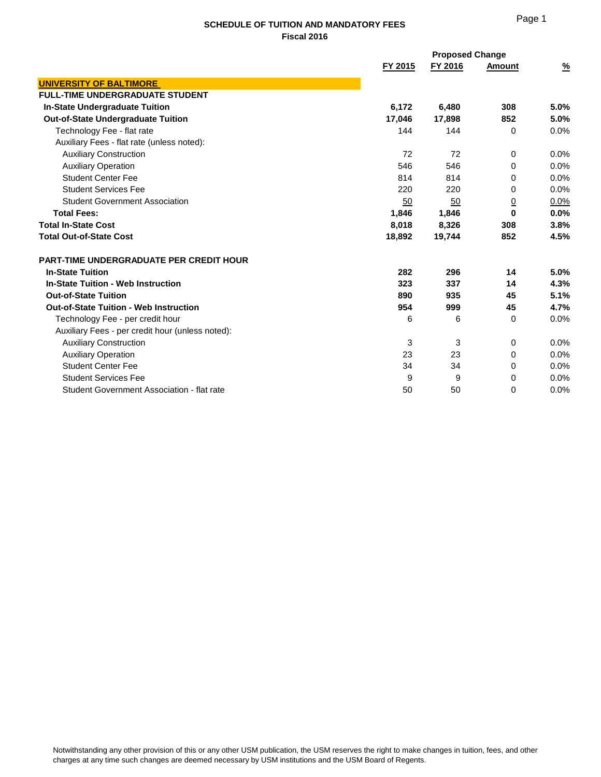#### **SCHEDULE OF TUITION AND MANDATORY FEES Fiscal 2016**

|                                                  |         | <b>Proposed Change</b> |               |               |
|--------------------------------------------------|---------|------------------------|---------------|---------------|
|                                                  | FY 2015 | FY 2016                | <b>Amount</b> | $\frac{9}{6}$ |
| <b>UNIVERSITY OF BALTIMORE</b>                   |         |                        |               |               |
| <b>FULL-TIME UNDERGRADUATE STUDENT</b>           |         |                        |               |               |
| <b>In-State Undergraduate Tuition</b>            | 6,172   | 6,480                  | 308           | 5.0%          |
| <b>Out-of-State Undergraduate Tuition</b>        | 17.046  | 17.898                 | 852           | 5.0%          |
| Technology Fee - flat rate                       | 144     | 144                    | 0             | 0.0%          |
| Auxiliary Fees - flat rate (unless noted):       |         |                        |               |               |
| <b>Auxiliary Construction</b>                    | 72      | 72                     | 0             | $0.0\%$       |
| <b>Auxiliary Operation</b>                       | 546     | 546                    | 0             | 0.0%          |
| <b>Student Center Fee</b>                        | 814     | 814                    | 0             | 0.0%          |
| <b>Student Services Fee</b>                      | 220     | 220                    | 0             | 0.0%          |
| <b>Student Government Association</b>            | 50      | 50                     | <u>0</u>      | 0.0%          |
| <b>Total Fees:</b>                               | 1.846   | 1,846                  | 0             | 0.0%          |
| <b>Total In-State Cost</b>                       | 8.018   | 8,326                  | 308           | 3.8%          |
| <b>Total Out-of-State Cost</b>                   | 18,892  | 19,744                 | 852           | 4.5%          |
| <b>PART-TIME UNDERGRADUATE PER CREDIT HOUR</b>   |         |                        |               |               |
| <b>In-State Tuition</b>                          | 282     | 296                    | 14            | 5.0%          |
| <b>In-State Tuition - Web Instruction</b>        | 323     | 337                    | 14            | 4.3%          |
| <b>Out-of-State Tuition</b>                      | 890     | 935                    | 45            | 5.1%          |
| <b>Out-of-State Tuition - Web Instruction</b>    | 954     | 999                    | 45            | 4.7%          |
| Technology Fee - per credit hour                 | 6       | 6                      | 0             | 0.0%          |
| Auxiliary Fees - per credit hour (unless noted): |         |                        |               |               |
| <b>Auxiliary Construction</b>                    | 3       | 3                      | 0             | $0.0\%$       |
| <b>Auxiliary Operation</b>                       | 23      | 23                     | 0             | 0.0%          |
| <b>Student Center Fee</b>                        | 34      | 34                     | $\Omega$      | 0.0%          |
| <b>Student Services Fee</b>                      | 9       | 9                      | 0             | 0.0%          |
| Student Government Association - flat rate       | 50      | 50                     | 0             | 0.0%          |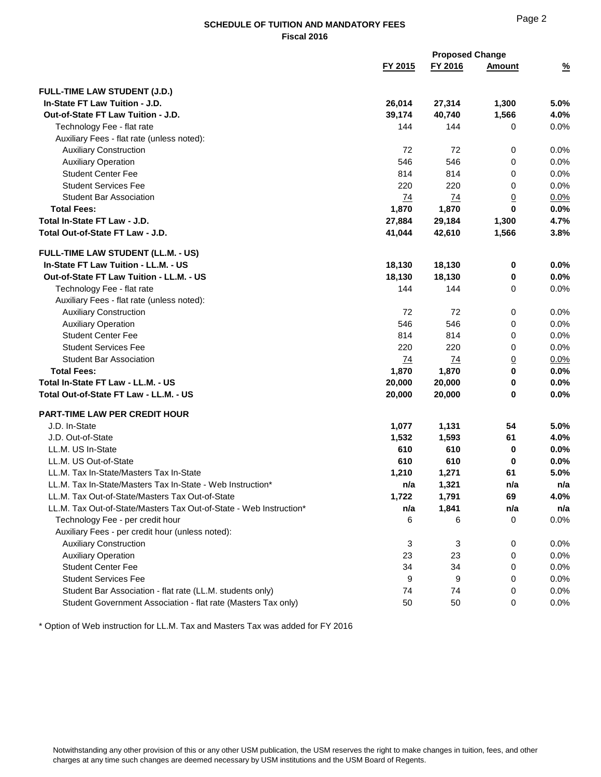# Page 2

# **SCHEDULE OF TUITION AND MANDATORY FEES Fiscal 2016**

|                                                                    |           | <b>Proposed Change</b> |               |               |
|--------------------------------------------------------------------|-----------|------------------------|---------------|---------------|
|                                                                    | FY 2015   | FY 2016                | <b>Amount</b> | $\frac{9}{6}$ |
| FULL-TIME LAW STUDENT (J.D.)                                       |           |                        |               |               |
| In-State FT Law Tuition - J.D.                                     | 26,014    | 27,314                 | 1,300         | 5.0%          |
| Out-of-State FT Law Tuition - J.D.                                 | 39,174    | 40,740                 | 1,566         | 4.0%          |
| Technology Fee - flat rate                                         | 144       | 144                    | 0             | 0.0%          |
| Auxiliary Fees - flat rate (unless noted):                         |           |                        |               |               |
| <b>Auxiliary Construction</b>                                      | 72        | 72                     | 0             | 0.0%          |
| <b>Auxiliary Operation</b>                                         | 546       | 546                    | 0             | 0.0%          |
| <b>Student Center Fee</b>                                          | 814       | 814                    | 0             | 0.0%          |
| <b>Student Services Fee</b>                                        | 220       | 220                    | 0             | 0.0%          |
| <b>Student Bar Association</b>                                     | 74        | 74                     | <u>0</u>      | 0.0%          |
| <b>Total Fees:</b>                                                 | 1,870     | 1,870                  | 0             | 0.0%          |
| Total In-State FT Law - J.D.                                       | 27,884    | 29,184                 | 1,300         | 4.7%          |
| Total Out-of-State FT Law - J.D.                                   | 41,044    | 42,610                 | 1,566         | 3.8%          |
| FULL-TIME LAW STUDENT (LL.M. - US)                                 |           |                        |               |               |
| In-State FT Law Tuition - LL.M. - US                               | 18,130    | 18,130                 | 0             | 0.0%          |
| Out-of-State FT Law Tuition - LL.M. - US                           | 18,130    | 18,130                 | 0             | 0.0%          |
| Technology Fee - flat rate                                         | 144       | 144                    | 0             | 0.0%          |
| Auxiliary Fees - flat rate (unless noted):                         |           |                        |               |               |
| <b>Auxiliary Construction</b>                                      | 72        | 72                     | 0             | 0.0%          |
| <b>Auxiliary Operation</b>                                         | 546       | 546                    | 0             | 0.0%          |
| <b>Student Center Fee</b>                                          | 814       | 814                    | 0             | 0.0%          |
| <b>Student Services Fee</b>                                        | 220       | 220                    | 0             | 0.0%          |
| <b>Student Bar Association</b>                                     | <u>74</u> | <u>74</u>              | <u>0</u>      | 0.0%          |
| <b>Total Fees:</b>                                                 | 1,870     | 1,870                  | 0             | 0.0%          |
| Total In-State FT Law - LL.M. - US                                 | 20,000    | 20,000                 | 0             | 0.0%          |
| Total Out-of-State FT Law - LL.M. - US                             | 20,000    | 20,000                 | 0             | 0.0%          |
| PART-TIME LAW PER CREDIT HOUR                                      |           |                        |               |               |
| J.D. In-State                                                      | 1,077     | 1,131                  | 54            | 5.0%          |
| J.D. Out-of-State                                                  | 1,532     | 1,593                  | 61            | 4.0%          |
| LL.M. US In-State                                                  | 610       | 610                    | 0             | 0.0%          |
| LL.M. US Out-of-State                                              | 610       | 610                    | 0             | 0.0%          |
| LL.M. Tax In-State/Masters Tax In-State                            | 1,210     | 1,271                  | 61            | 5.0%          |
| LL.M. Tax In-State/Masters Tax In-State - Web Instruction*         | n/a       | 1,321                  | n/a           | n/a           |
| LL.M. Tax Out-of-State/Masters Tax Out-of-State                    | 1,722     | 1,791                  | 69            | 4.0%          |
| LL.M. Tax Out-of-State/Masters Tax Out-of-State - Web Instruction* | n/a       | 1,841                  | n/a           | n/a           |
| Technology Fee - per credit hour                                   | 6         | 6                      | 0             | 0.0%          |
| Auxiliary Fees - per credit hour (unless noted):                   |           |                        |               |               |
| <b>Auxiliary Construction</b>                                      | 3         | 3                      | 0             | 0.0%          |
| <b>Auxiliary Operation</b>                                         | 23        | 23                     | 0             | 0.0%          |
| <b>Student Center Fee</b>                                          | 34        | 34                     | 0             | 0.0%          |
| <b>Student Services Fee</b>                                        | 9         | 9                      | 0             | 0.0%          |
| Student Bar Association - flat rate (LL.M. students only)          | 74        | 74                     | 0             | 0.0%          |
| Student Government Association - flat rate (Masters Tax only)      | 50        | 50                     | 0             | 0.0%          |

\* Option of Web instruction for LL.M. Tax and Masters Tax was added for FY 2016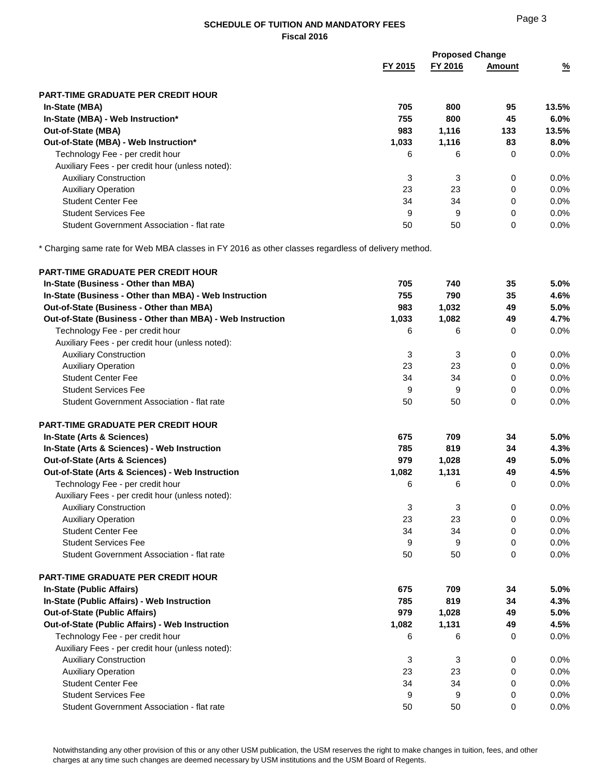### **SCHEDULE OF TUITION AND MANDATORY FEES Fiscal 2016**

|                                                  | <b>Proposed Change</b> |         |        |               |
|--------------------------------------------------|------------------------|---------|--------|---------------|
|                                                  | FY 2015                | FY 2016 | Amount | $\frac{9}{6}$ |
| <b>PART-TIME GRADUATE PER CREDIT HOUR</b>        |                        |         |        |               |
| In-State (MBA)                                   | 705                    | 800     | 95     | 13.5%         |
| In-State (MBA) - Web Instruction*                | 755                    | 800     | 45     | $6.0\%$       |
| <b>Out-of-State (MBA)</b>                        | 983                    | 1,116   | 133    | 13.5%         |
| Out-of-State (MBA) - Web Instruction*            | 1,033                  | 1,116   | 83     | $8.0\%$       |
| Technology Fee - per credit hour                 | 6                      | 6       | 0      | $0.0\%$       |
| Auxiliary Fees - per credit hour (unless noted): |                        |         |        |               |
| <b>Auxiliary Construction</b>                    | 3                      | 3       | 0      | $0.0\%$       |
| <b>Auxiliary Operation</b>                       | 23                     | 23      | 0      | $0.0\%$       |
| <b>Student Center Fee</b>                        | 34                     | 34      | 0      | $0.0\%$       |
| <b>Student Services Fee</b>                      | 9                      | 9       | 0      | $0.0\%$       |
| Student Government Association - flat rate       | 50                     | 50      | 0      | $0.0\%$       |

\* Charging same rate for Web MBA classes in FY 2016 as other classes regardless of delivery method.

| PART-TIME GRADUATE PER CREDIT HOUR                         |       |       |             |      |
|------------------------------------------------------------|-------|-------|-------------|------|
| In-State (Business - Other than MBA)                       | 705   | 740   | 35          | 5.0% |
| In-State (Business - Other than MBA) - Web Instruction     | 755   | 790   | 35          | 4.6% |
| Out-of-State (Business - Other than MBA)                   | 983   | 1,032 | 49          | 5.0% |
| Out-of-State (Business - Other than MBA) - Web Instruction | 1,033 | 1,082 | 49          | 4.7% |
| Technology Fee - per credit hour                           | 6     | 6     | 0           | 0.0% |
| Auxiliary Fees - per credit hour (unless noted):           |       |       |             |      |
| <b>Auxiliary Construction</b>                              | 3     | 3     | 0           | 0.0% |
| <b>Auxiliary Operation</b>                                 | 23    | 23    | 0           | 0.0% |
| <b>Student Center Fee</b>                                  | 34    | 34    | 0           | 0.0% |
| <b>Student Services Fee</b>                                | 9     | 9     | 0           | 0.0% |
| Student Government Association - flat rate                 | 50    | 50    | $\mathbf 0$ | 0.0% |
| <b>PART-TIME GRADUATE PER CREDIT HOUR</b>                  |       |       |             |      |
| In-State (Arts & Sciences)                                 | 675   | 709   | 34          | 5.0% |
| In-State (Arts & Sciences) - Web Instruction               | 785   | 819   | 34          | 4.3% |
| Out-of-State (Arts & Sciences)                             | 979   | 1,028 | 49          | 5.0% |
| Out-of-State (Arts & Sciences) - Web Instruction           | 1,082 | 1,131 | 49          | 4.5% |
| Technology Fee - per credit hour                           | 6     | 6     | 0           | 0.0% |
| Auxiliary Fees - per credit hour (unless noted):           |       |       |             |      |
| <b>Auxiliary Construction</b>                              | 3     | 3     | $\pmb{0}$   | 0.0% |
| <b>Auxiliary Operation</b>                                 | 23    | 23    | 0           | 0.0% |
| <b>Student Center Fee</b>                                  | 34    | 34    | 0           | 0.0% |
| <b>Student Services Fee</b>                                | 9     | 9     | 0           | 0.0% |
| Student Government Association - flat rate                 | 50    | 50    | $\Omega$    | 0.0% |
| PART-TIME GRADUATE PER CREDIT HOUR                         |       |       |             |      |
| In-State (Public Affairs)                                  | 675   | 709   | 34          | 5.0% |
| In-State (Public Affairs) - Web Instruction                | 785   | 819   | 34          | 4.3% |
| <b>Out-of-State (Public Affairs)</b>                       | 979   | 1,028 | 49          | 5.0% |
| Out-of-State (Public Affairs) - Web Instruction            | 1,082 | 1,131 | 49          | 4.5% |
| Technology Fee - per credit hour                           | 6     | 6     | $\mathbf 0$ | 0.0% |
| Auxiliary Fees - per credit hour (unless noted):           |       |       |             |      |
| <b>Auxiliary Construction</b>                              | 3     | 3     | 0           | 0.0% |
| <b>Auxiliary Operation</b>                                 | 23    | 23    | 0           | 0.0% |
| <b>Student Center Fee</b>                                  | 34    | 34    | 0           | 0.0% |
| <b>Student Services Fee</b>                                | 9     | 9     | 0           | 0.0% |
| Student Government Association - flat rate                 | 50    | 50    | 0           | 0.0% |